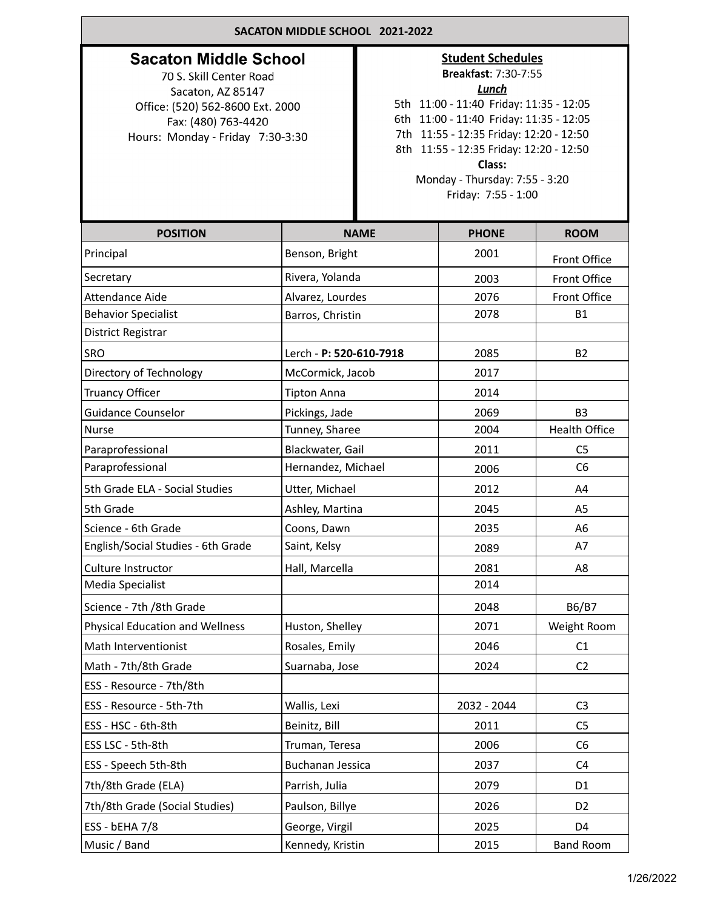| SACATON MIDDLE SCHOOL 2021-2022                                                                                                                                             |                         |                                                                                                                                                                                                                                                                                                                 |              |                      |  |  |
|-----------------------------------------------------------------------------------------------------------------------------------------------------------------------------|-------------------------|-----------------------------------------------------------------------------------------------------------------------------------------------------------------------------------------------------------------------------------------------------------------------------------------------------------------|--------------|----------------------|--|--|
| <b>Sacaton Middle School</b><br>70 S. Skill Center Road<br>Sacaton, AZ 85147<br>Office: (520) 562-8600 Ext. 2000<br>Fax: (480) 763-4420<br>Hours: Monday - Friday 7:30-3:30 |                         | <b>Student Schedules</b><br>Breakfast: 7:30-7:55<br><b>Lunch</b><br>5th 11:00 - 11:40 Friday: 11:35 - 12:05<br>6th 11:00 - 11:40 Friday: 11:35 - 12:05<br>7th 11:55 - 12:35 Friday: 12:20 - 12:50<br>8th 11:55 - 12:35 Friday: 12:20 - 12:50<br>Class:<br>Monday - Thursday: 7:55 - 3:20<br>Friday: 7:55 - 1:00 |              |                      |  |  |
| <b>POSITION</b>                                                                                                                                                             |                         | <b>NAME</b>                                                                                                                                                                                                                                                                                                     | <b>PHONE</b> | <b>ROOM</b>          |  |  |
| Principal                                                                                                                                                                   | Benson, Bright          |                                                                                                                                                                                                                                                                                                                 | 2001         | Front Office         |  |  |
| Secretary                                                                                                                                                                   | Rivera, Yolanda         |                                                                                                                                                                                                                                                                                                                 | 2003         | Front Office         |  |  |
| Attendance Aide                                                                                                                                                             | Alvarez, Lourdes        |                                                                                                                                                                                                                                                                                                                 | 2076         | Front Office         |  |  |
| <b>Behavior Specialist</b>                                                                                                                                                  | Barros, Christin        |                                                                                                                                                                                                                                                                                                                 | 2078         | <b>B1</b>            |  |  |
| District Registrar                                                                                                                                                          |                         |                                                                                                                                                                                                                                                                                                                 |              |                      |  |  |
| SRO                                                                                                                                                                         | Lerch - P: 520-610-7918 |                                                                                                                                                                                                                                                                                                                 | 2085         | <b>B2</b>            |  |  |
| Directory of Technology                                                                                                                                                     | McCormick, Jacob        |                                                                                                                                                                                                                                                                                                                 | 2017         |                      |  |  |
| <b>Truancy Officer</b>                                                                                                                                                      | <b>Tipton Anna</b>      |                                                                                                                                                                                                                                                                                                                 | 2014         |                      |  |  |
| <b>Guidance Counselor</b>                                                                                                                                                   | Pickings, Jade          |                                                                                                                                                                                                                                                                                                                 | 2069         | B <sub>3</sub>       |  |  |
| <b>Nurse</b>                                                                                                                                                                | Tunney, Sharee          |                                                                                                                                                                                                                                                                                                                 | 2004         | <b>Health Office</b> |  |  |
| Paraprofessional                                                                                                                                                            | Blackwater, Gail        |                                                                                                                                                                                                                                                                                                                 | 2011         | C <sub>5</sub>       |  |  |
| Paraprofessional                                                                                                                                                            | Hernandez, Michael      |                                                                                                                                                                                                                                                                                                                 | 2006         | C <sub>6</sub>       |  |  |
| 5th Grade ELA - Social Studies                                                                                                                                              | Utter, Michael          |                                                                                                                                                                                                                                                                                                                 | 2012         | A4                   |  |  |
| 5th Grade                                                                                                                                                                   | Ashley, Martina         |                                                                                                                                                                                                                                                                                                                 | 2045         | A <sub>5</sub>       |  |  |
| Science - 6th Grade                                                                                                                                                         | Coons, Dawn             |                                                                                                                                                                                                                                                                                                                 | 2035         | A6                   |  |  |
| English/Social Studies - 6th Grade                                                                                                                                          | Saint, Kelsy            |                                                                                                                                                                                                                                                                                                                 | 2089         | A7                   |  |  |
| Culture Instructor                                                                                                                                                          | Hall, Marcella          |                                                                                                                                                                                                                                                                                                                 | 2081         | A8                   |  |  |
| Media Specialist                                                                                                                                                            |                         |                                                                                                                                                                                                                                                                                                                 |              |                      |  |  |
| Science - 7th /8th Grade                                                                                                                                                    |                         |                                                                                                                                                                                                                                                                                                                 | 2048         | B6/B7                |  |  |
| <b>Physical Education and Wellness</b>                                                                                                                                      | Huston, Shelley         |                                                                                                                                                                                                                                                                                                                 | 2071         | Weight Room          |  |  |
| Math Interventionist                                                                                                                                                        | Rosales, Emily          |                                                                                                                                                                                                                                                                                                                 | 2046         | C1                   |  |  |
| Math - 7th/8th Grade                                                                                                                                                        | Suarnaba, Jose          |                                                                                                                                                                                                                                                                                                                 | 2024         | C <sub>2</sub>       |  |  |
| ESS - Resource - 7th/8th                                                                                                                                                    |                         |                                                                                                                                                                                                                                                                                                                 |              |                      |  |  |
| ESS - Resource - 5th-7th                                                                                                                                                    | Wallis, Lexi            |                                                                                                                                                                                                                                                                                                                 | 2032 - 2044  | C <sub>3</sub>       |  |  |
| ESS - HSC - 6th-8th                                                                                                                                                         | Beinitz, Bill           |                                                                                                                                                                                                                                                                                                                 | 2011         | C <sub>5</sub>       |  |  |
| ESS LSC - 5th-8th                                                                                                                                                           | Truman, Teresa          |                                                                                                                                                                                                                                                                                                                 | 2006         | C <sub>6</sub>       |  |  |
| ESS - Speech 5th-8th                                                                                                                                                        | <b>Buchanan Jessica</b> |                                                                                                                                                                                                                                                                                                                 | 2037         | C <sub>4</sub>       |  |  |
| 7th/8th Grade (ELA)                                                                                                                                                         | Parrish, Julia          |                                                                                                                                                                                                                                                                                                                 | 2079         | D <sub>1</sub>       |  |  |
| 7th/8th Grade (Social Studies)                                                                                                                                              | Paulson, Billye         |                                                                                                                                                                                                                                                                                                                 | 2026         | D <sub>2</sub>       |  |  |
| ESS - bEHA 7/8                                                                                                                                                              | George, Virgil          |                                                                                                                                                                                                                                                                                                                 | 2025         | D <sub>4</sub>       |  |  |
| Music / Band                                                                                                                                                                | Kennedy, Kristin        |                                                                                                                                                                                                                                                                                                                 | 2015         | <b>Band Room</b>     |  |  |